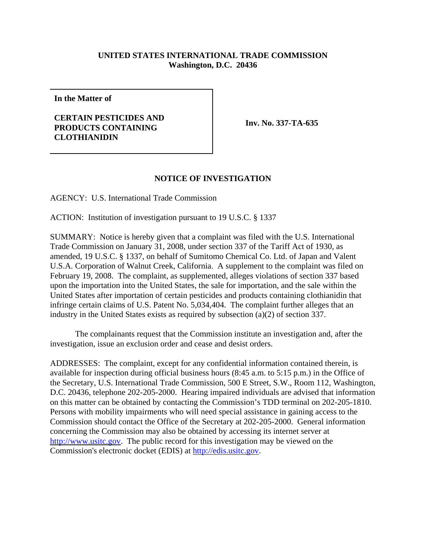## **UNITED STATES INTERNATIONAL TRADE COMMISSION Washington, D.C. 20436**

**In the Matter of**

## **CERTAIN PESTICIDES AND PRODUCTS CONTAINING CLOTHIANIDIN**

**Inv. No. 337-TA-635**

## **NOTICE OF INVESTIGATION**

AGENCY: U.S. International Trade Commission

ACTION: Institution of investigation pursuant to 19 U.S.C. § 1337

SUMMARY: Notice is hereby given that a complaint was filed with the U.S. International Trade Commission on January 31, 2008, under section 337 of the Tariff Act of 1930, as amended, 19 U.S.C. § 1337, on behalf of Sumitomo Chemical Co. Ltd. of Japan and Valent U.S.A. Corporation of Walnut Creek, California. A supplement to the complaint was filed on February 19, 2008. The complaint, as supplemented, alleges violations of section 337 based upon the importation into the United States, the sale for importation, and the sale within the United States after importation of certain pesticides and products containing clothianidin that infringe certain claims of U.S. Patent No. 5,034,404. The complaint further alleges that an industry in the United States exists as required by subsection (a)(2) of section 337.

The complainants request that the Commission institute an investigation and, after the investigation, issue an exclusion order and cease and desist orders.

ADDRESSES: The complaint, except for any confidential information contained therein, is available for inspection during official business hours (8:45 a.m. to 5:15 p.m.) in the Office of the Secretary, U.S. International Trade Commission, 500 E Street, S.W., Room 112, Washington, D.C. 20436, telephone 202-205-2000. Hearing impaired individuals are advised that information on this matter can be obtained by contacting the Commission's TDD terminal on 202-205-1810. Persons with mobility impairments who will need special assistance in gaining access to the Commission should contact the Office of the Secretary at 202-205-2000. General information concerning the Commission may also be obtained by accessing its internet server at http://www.usitc.gov. The public record for this investigation may be viewed on the Commission's electronic docket (EDIS) at http://edis.usitc.gov.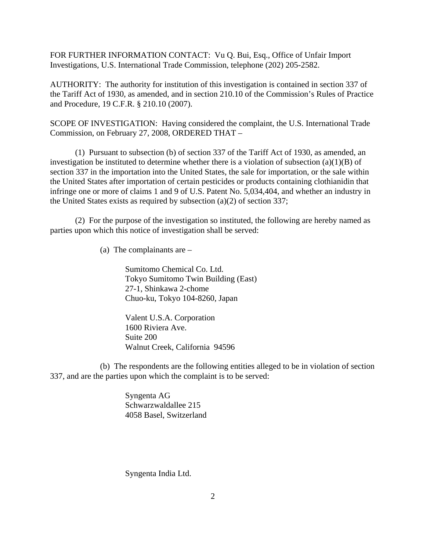FOR FURTHER INFORMATION CONTACT: Vu Q. Bui, Esq., Office of Unfair Import Investigations, U.S. International Trade Commission, telephone (202) 205-2582.

AUTHORITY: The authority for institution of this investigation is contained in section 337 of the Tariff Act of 1930, as amended, and in section 210.10 of the Commission's Rules of Practice and Procedure, 19 C.F.R. § 210.10 (2007).

SCOPE OF INVESTIGATION: Having considered the complaint, the U.S. International Trade Commission, on February 27, 2008, ORDERED THAT –

(1) Pursuant to subsection (b) of section 337 of the Tariff Act of 1930, as amended, an investigation be instituted to determine whether there is a violation of subsection  $(a)(1)(B)$  of section 337 in the importation into the United States, the sale for importation, or the sale within the United States after importation of certain pesticides or products containing clothianidin that infringe one or more of claims 1 and 9 of U.S. Patent No. 5,034,404, and whether an industry in the United States exists as required by subsection (a)(2) of section 337;

(2) For the purpose of the investigation so instituted, the following are hereby named as parties upon which this notice of investigation shall be served:

(a) The complainants are –

Sumitomo Chemical Co. Ltd. Tokyo Sumitomo Twin Building (East) 27-1, Shinkawa 2-chome Chuo-ku, Tokyo 104-8260, Japan

Valent U.S.A. Corporation 1600 Riviera Ave. Suite 200 Walnut Creek, California 94596

(b) The respondents are the following entities alleged to be in violation of section 337, and are the parties upon which the complaint is to be served:

> Syngenta AG Schwarzwaldallee 215 4058 Basel, Switzerland

Syngenta India Ltd.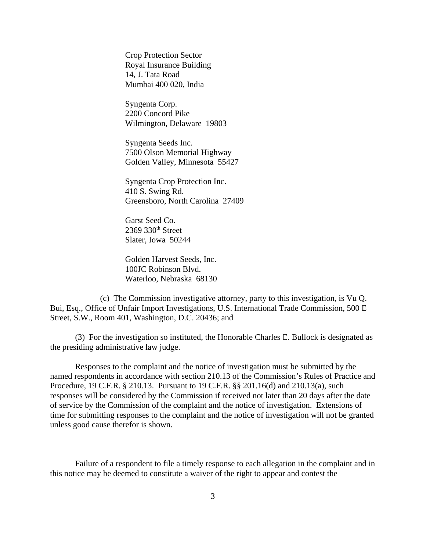Crop Protection Sector Royal Insurance Building 14, J. Tata Road Mumbai 400 020, India

Syngenta Corp. 2200 Concord Pike Wilmington, Delaware 19803

Syngenta Seeds Inc. 7500 Olson Memorial Highway Golden Valley, Minnesota 55427

Syngenta Crop Protection Inc. 410 S. Swing Rd. Greensboro, North Carolina 27409

Garst Seed Co.  $2369$   $330<sup>th</sup>$  Street Slater, Iowa 50244

Golden Harvest Seeds, Inc. 100JC Robinson Blvd. Waterloo, Nebraska 68130

(c) The Commission investigative attorney, party to this investigation, is Vu Q. Bui, Esq., Office of Unfair Import Investigations, U.S. International Trade Commission, 500 E Street, S.W., Room 401, Washington, D.C. 20436; and

(3) For the investigation so instituted, the Honorable Charles E. Bullock is designated as the presiding administrative law judge.

Responses to the complaint and the notice of investigation must be submitted by the named respondents in accordance with section 210.13 of the Commission's Rules of Practice and Procedure, 19 C.F.R. § 210.13. Pursuant to 19 C.F.R. §§ 201.16(d) and 210.13(a), such responses will be considered by the Commission if received not later than 20 days after the date of service by the Commission of the complaint and the notice of investigation. Extensions of time for submitting responses to the complaint and the notice of investigation will not be granted unless good cause therefor is shown.

Failure of a respondent to file a timely response to each allegation in the complaint and in this notice may be deemed to constitute a waiver of the right to appear and contest the